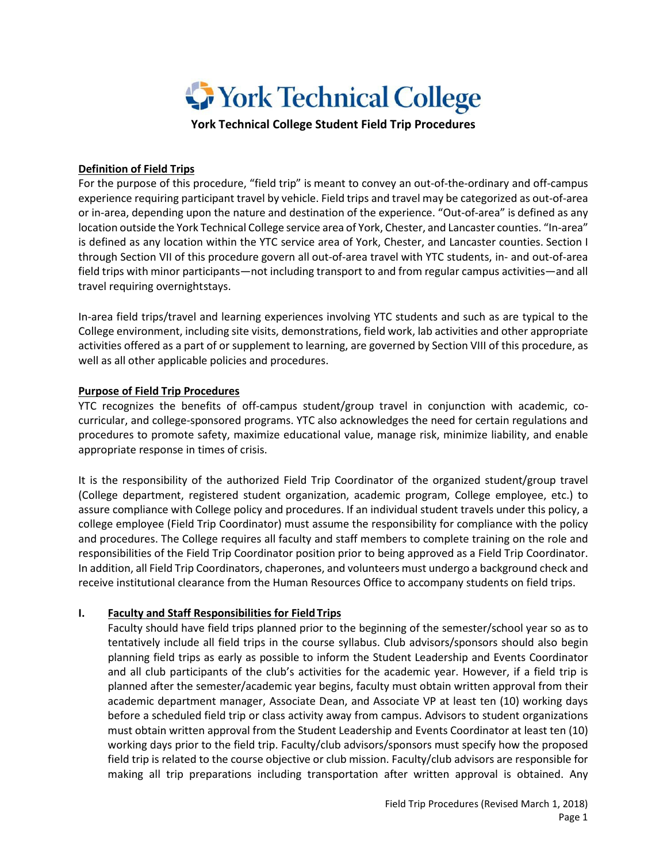

**York Technical College Student Field Trip Procedures**

### **Definition of Field Trips**

For the purpose of this procedure, "field trip" is meant to convey an out-of-the-ordinary and off-campus experience requiring participant travel by vehicle. Field trips and travel may be categorized as out-of-area or in-area, depending upon the nature and destination of the experience. "Out-of-area" is defined as any location outside the York Technical College service area of York, Chester, and Lancaster counties. "In-area" is defined as any location within the YTC service area of York, Chester, and Lancaster counties. Section I through Section VII of this procedure govern all out-of-area travel with YTC students, in- and out-of-area field trips with minor participants—not including transport to and from regular campus activities—and all travel requiring overnightstays.

In-area field trips/travel and learning experiences involving YTC students and such as are typical to the College environment, including site visits, demonstrations, field work, lab activities and other appropriate activities offered as a part of or supplement to learning, are governed by Section VIII of this procedure, as well as all other applicable policies and procedures.

## **Purpose of Field Trip Procedures**

YTC recognizes the benefits of off-campus student/group travel in conjunction with academic, cocurricular, and college-sponsored programs. YTC also acknowledges the need for certain regulations and procedures to promote safety, maximize educational value, manage risk, minimize liability, and enable appropriate response in times of crisis.

It is the responsibility of the authorized Field Trip Coordinator of the organized student/group travel (College department, registered student organization, academic program, College employee, etc.) to assure compliance with College policy and procedures. If an individual student travels under this policy, a college employee (Field Trip Coordinator) must assume the responsibility for compliance with the policy and procedures. The College requires all faculty and staff members to complete training on the role and responsibilities of the Field Trip Coordinator position prior to being approved as a Field Trip Coordinator. In addition, all Field Trip Coordinators, chaperones, and volunteers must undergo a background check and receive institutional clearance from the Human Resources Office to accompany students on field trips.

## **I. Faculty and Staff Responsibilities for Field Trips**

Faculty should have field trips planned prior to the beginning of the semester/school year so as to tentatively include all field trips in the course syllabus. Club advisors/sponsors should also begin planning field trips as early as possible to inform the Student Leadership and Events Coordinator and all club participants of the club's activities for the academic year. However, if a field trip is planned after the semester/academic year begins, faculty must obtain written approval from their academic department manager, Associate Dean, and Associate VP at least ten (10) working days before a scheduled field trip or class activity away from campus. Advisors to student organizations must obtain written approval from the Student Leadership and Events Coordinator at least ten (10) working days prior to the field trip. Faculty/club advisors/sponsors must specify how the proposed field trip is related to the course objective or club mission. Faculty/club advisors are responsible for making all trip preparations including transportation after written approval is obtained. Any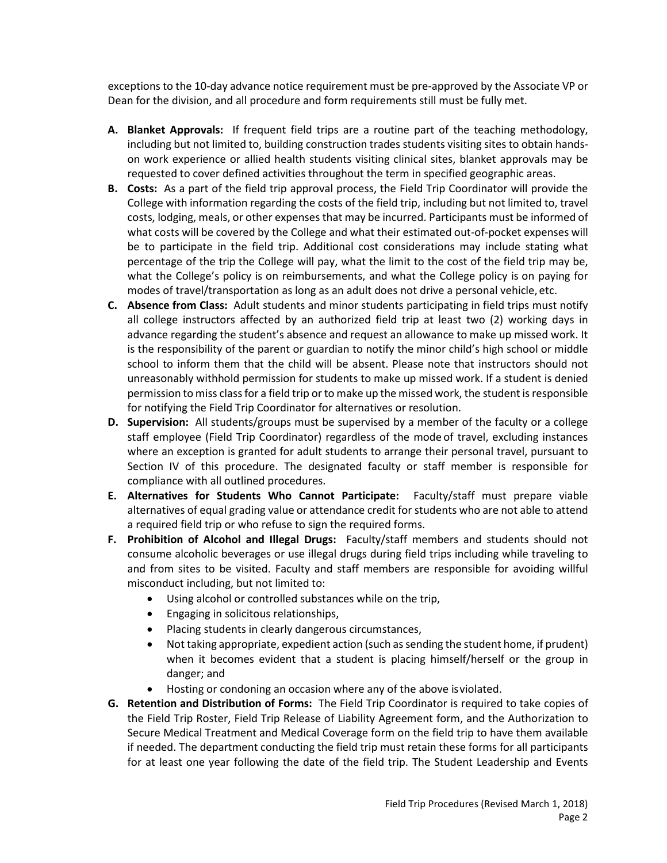exceptions to the 10-day advance notice requirement must be pre-approved by the Associate VP or Dean for the division, and all procedure and form requirements still must be fully met.

- **A. Blanket Approvals:** If frequent field trips are a routine part of the teaching methodology, including but not limited to, building construction trades students visiting sites to obtain handson work experience or allied health students visiting clinical sites, blanket approvals may be requested to cover defined activities throughout the term in specified geographic areas.
- **B. Costs:** As a part of the field trip approval process, the Field Trip Coordinator will provide the College with information regarding the costs of the field trip, including but not limited to, travel costs, lodging, meals, or other expenses that may be incurred. Participants must be informed of what costs will be covered by the College and what their estimated out-of-pocket expenses will be to participate in the field trip. Additional cost considerations may include stating what percentage of the trip the College will pay, what the limit to the cost of the field trip may be, what the College's policy is on reimbursements, and what the College policy is on paying for modes of travel/transportation as long as an adult does not drive a personal vehicle, etc.
- **C. Absence from Class:** Adult students and minor students participating in field trips must notify all college instructors affected by an authorized field trip at least two (2) working days in advance regarding the student's absence and request an allowance to make up missed work. It is the responsibility of the parent or guardian to notify the minor child's high school or middle school to inform them that the child will be absent. Please note that instructors should not unreasonably withhold permission for students to make up missed work. If a student is denied permission to miss class for a field trip or to make up the missed work, the student is responsible for notifying the Field Trip Coordinator for alternatives or resolution.
- **D. Supervision:** All students/groups must be supervised by a member of the faculty or a college staff employee (Field Trip Coordinator) regardless of the mode of travel, excluding instances where an exception is granted for adult students to arrange their personal travel, pursuant to Section IV of this procedure. The designated faculty or staff member is responsible for compliance with all outlined procedures.
- **E. Alternatives for Students Who Cannot Participate:** Faculty/staff must prepare viable alternatives of equal grading value or attendance credit for students who are not able to attend a required field trip or who refuse to sign the required forms.
- **F. Prohibition of Alcohol and Illegal Drugs:** Faculty/staff members and students should not consume alcoholic beverages or use illegal drugs during field trips including while traveling to and from sites to be visited. Faculty and staff members are responsible for avoiding willful misconduct including, but not limited to:
	- Using alcohol or controlled substances while on the trip,
	- Engaging in solicitous relationships,
	- Placing students in clearly dangerous circumstances,
	- Not taking appropriate, expedient action (such as sending the student home, if prudent) when it becomes evident that a student is placing himself/herself or the group in danger; and
	- Hosting or condoning an occasion where any of the above isviolated.
- **G. Retention and Distribution of Forms:** The Field Trip Coordinator is required to take copies of the Field Trip Roster, Field Trip Release of Liability Agreement form, and the Authorization to Secure Medical Treatment and Medical Coverage form on the field trip to have them available if needed. The department conducting the field trip must retain these forms for all participants for at least one year following the date of the field trip. The Student Leadership and Events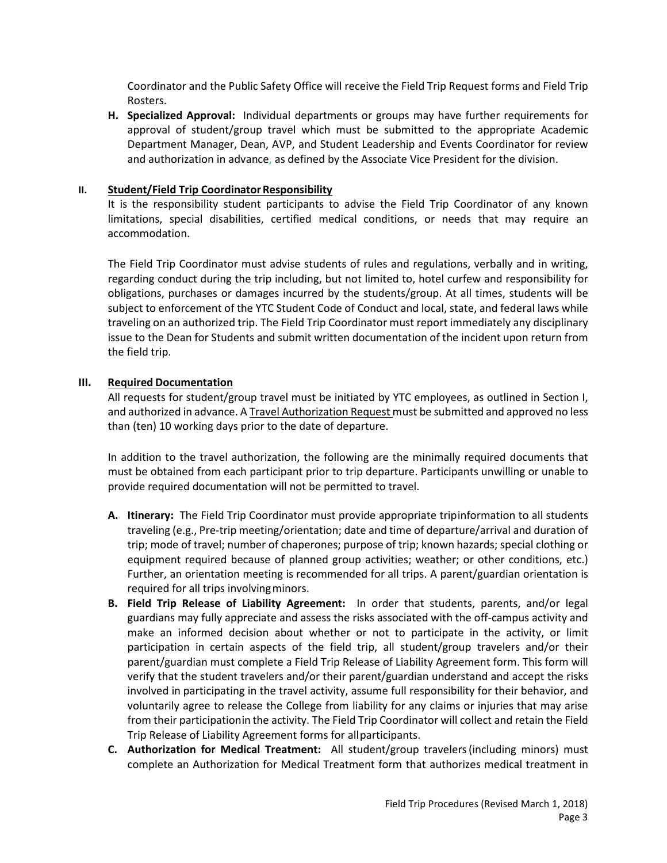Coordinator and the Public Safety Office will receive the Field Trip Request forms and Field Trip Rosters.

**H. Specialized Approval:** Individual departments or groups may have further requirements for approval of student/group travel which must be submitted to the appropriate Academic Department Manager, Dean, AVP, and Student Leadership and Events Coordinator for review and authorization in advance, as defined by the Associate Vice President for the division.

### **II.** Student/Field Trip Coordinator Responsibility

It is the responsibility student participants to advise the Field Trip Coordinator of any known limitations, special disabilities, certified medical conditions, or needs that may require an accommodation.

The Field Trip Coordinator must advise students of rules and regulations, verbally and in writing, regarding conduct during the trip including, but not limited to, hotel curfew and responsibility for obligations, purchases or damages incurred by the students/group. At all times, students will be subject to enforcement of the YTC Student Code of Conduct and local, state, and federal laws while traveling on an authorized trip. The Field Trip Coordinator must report immediately any disciplinary issue to the Dean for Students and submit written documentation of the incident upon return from the field trip.

#### **III. Required Documentation**

All requests for student/group travel must be initiated by YTC employees, as outlined in Section I, and authorized in advance. A Travel Authorization Request must be submitted and approved no less than (ten) 10 working days prior to the date of departure.

In addition to the travel authorization, the following are the minimally required documents that must be obtained from each participant prior to trip departure. Participants unwilling or unable to provide required documentation will not be permitted to travel.

- **A. Itinerary:** The Field Trip Coordinator must provide appropriate tripinformation to all students traveling (e.g., Pre-trip meeting/orientation; date and time of departure/arrival and duration of trip; mode of travel; number of chaperones; purpose of trip; known hazards; special clothing or equipment required because of planned group activities; weather; or other conditions, etc.) Further, an orientation meeting is recommended for all trips. A parent/guardian orientation is required for all trips involvingminors.
- **B. Field Trip Release of Liability Agreement:** In order that students, parents, and/or legal guardians may fully appreciate and assess the risks associated with the off-campus activity and make an informed decision about whether or not to participate in the activity, or limit participation in certain aspects of the field trip, all student/group travelers and/or their parent/guardian must complete a Field Trip Release of Liability Agreement form. This form will verify that the student travelers and/or their parent/guardian understand and accept the risks involved in participating in the travel activity, assume full responsibility for their behavior, and voluntarily agree to release the College from liability for any claims or injuries that may arise from their participationin the activity. The Field Trip Coordinator will collect and retain the Field Trip Release of Liability Agreement forms for allparticipants.
- **C. Authorization for Medical Treatment:** All student/group travelers(including minors) must complete an Authorization for Medical Treatment form that authorizes medical treatment in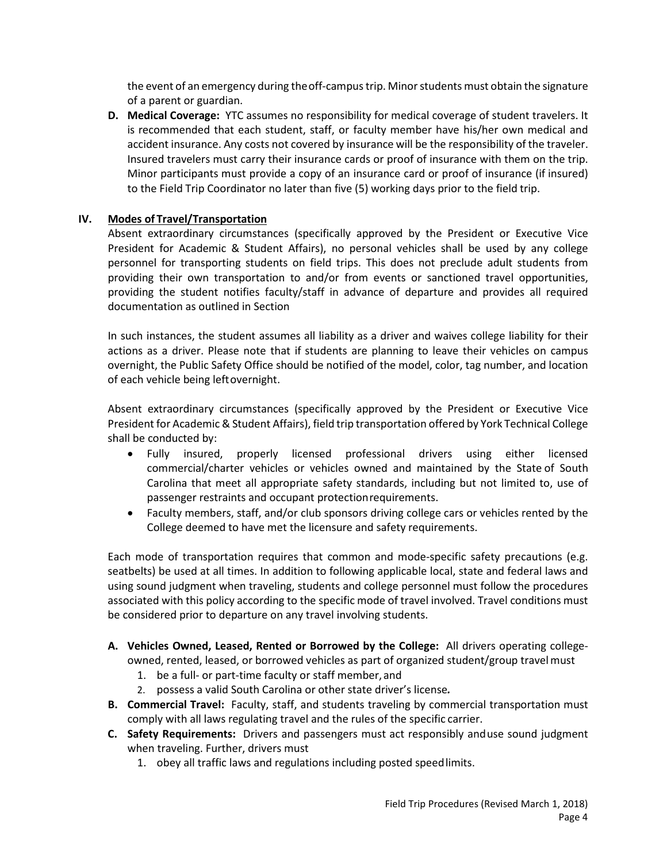the event of an emergency during theoff-campus trip. Minor students must obtain the signature of a parent or guardian.

**D. Medical Coverage:** YTC assumes no responsibility for medical coverage of student travelers. It is recommended that each student, staff, or faculty member have his/her own medical and accident insurance. Any costs not covered by insurance will be the responsibility of the traveler. Insured travelers must carry their insurance cards or proof of insurance with them on the trip. Minor participants must provide a copy of an insurance card or proof of insurance (if insured) to the Field Trip Coordinator no later than five (5) working days prior to the field trip.

## **IV. Modes of Travel/Transportation**

Absent extraordinary circumstances (specifically approved by the President or Executive Vice President for Academic & Student Affairs), no personal vehicles shall be used by any college personnel for transporting students on field trips. This does not preclude adult students from providing their own transportation to and/or from events or sanctioned travel opportunities, providing the student notifies faculty/staff in advance of departure and provides all required documentation as outlined in Section

In such instances, the student assumes all liability as a driver and waives college liability for their actions as a driver. Please note that if students are planning to leave their vehicles on campus overnight, the Public Safety Office should be notified of the model, color, tag number, and location of each vehicle being leftovernight.

Absent extraordinary circumstances (specifically approved by the President or Executive Vice President for Academic & Student Affairs), field trip transportation offered by York Technical College shall be conducted by:

- Fully insured, properly licensed professional drivers using either licensed commercial/charter vehicles or vehicles owned and maintained by the State of South Carolina that meet all appropriate safety standards, including but not limited to, use of passenger restraints and occupant protectionrequirements.
- Faculty members, staff, and/or club sponsors driving college cars or vehicles rented by the College deemed to have met the licensure and safety requirements.

Each mode of transportation requires that common and mode-specific safety precautions (e.g. seatbelts) be used at all times. In addition to following applicable local, state and federal laws and using sound judgment when traveling, students and college personnel must follow the procedures associated with this policy according to the specific mode of travel involved. Travel conditions must be considered prior to departure on any travel involving students.

- **A. Vehicles Owned, Leased, Rented or Borrowed by the College:** All drivers operating collegeowned, rented, leased, or borrowed vehicles as part of organized student/group travelmust
	- 1. be a full- or part-time faculty or staff member, and
	- 2. possess a valid South Carolina or other state driver's license*.*
- **B. Commercial Travel:** Faculty, staff, and students traveling by commercial transportation must comply with all laws regulating travel and the rules of the specific carrier.
- **C. Safety Requirements:** Drivers and passengers must act responsibly anduse sound judgment when traveling. Further, drivers must
	- 1. obey all traffic laws and regulations including posted speedlimits.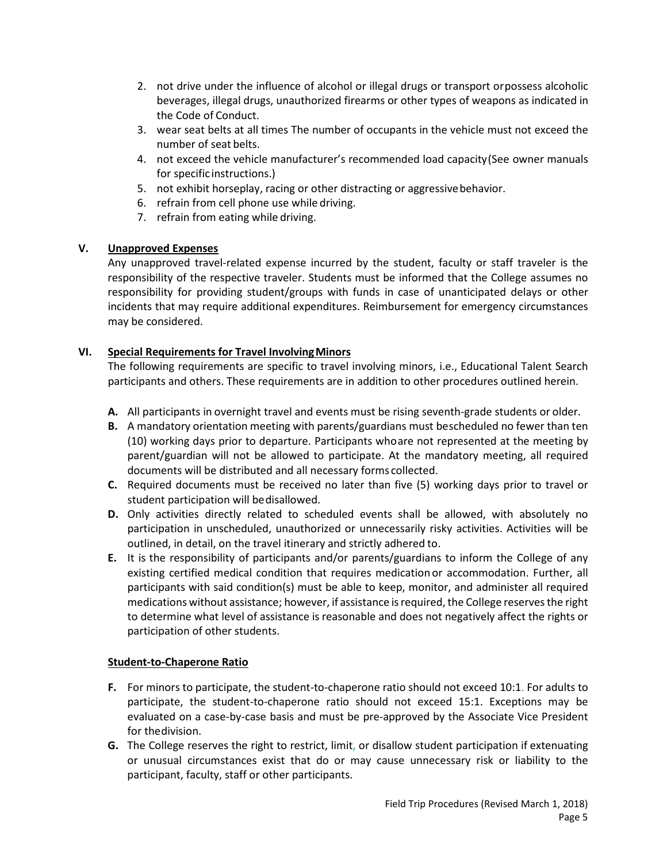- 2. not drive under the influence of alcohol or illegal drugs or transport orpossess alcoholic beverages, illegal drugs, unauthorized firearms or other types of weapons as indicated in the Code of Conduct.
- 3. wear seat belts at all times The number of occupants in the vehicle must not exceed the number of seat belts.
- 4. not exceed the vehicle manufacturer's recommended load capacity(See owner manuals for specific instructions.)
- 5. not exhibit horseplay, racing or other distracting or aggressivebehavior.
- 6. refrain from cell phone use while driving.
- 7. refrain from eating while driving.

# **V. Unapproved Expenses**

Any unapproved travel-related expense incurred by the student, faculty or staff traveler is the responsibility of the respective traveler. Students must be informed that the College assumes no responsibility for providing student/groups with funds in case of unanticipated delays or other incidents that may require additional expenditures. Reimbursement for emergency circumstances may be considered.

# **VI. Special Requirements for Travel InvolvingMinors**

The following requirements are specific to travel involving minors, i.e., Educational Talent Search participants and others. These requirements are in addition to other procedures outlined herein.

- **A.** All participants in overnight travel and events must be rising seventh-grade students or older.
- **B.** A mandatory orientation meeting with parents/guardians must bescheduled no fewer than ten (10) working days prior to departure. Participants whoare not represented at the meeting by parent/guardian will not be allowed to participate. At the mandatory meeting, all required documents will be distributed and all necessary forms collected.
- **C.** Required documents must be received no later than five (5) working days prior to travel or student participation will bedisallowed.
- **D.** Only activities directly related to scheduled events shall be allowed, with absolutely no participation in unscheduled, unauthorized or unnecessarily risky activities. Activities will be outlined, in detail, on the travel itinerary and strictly adhered to.
- **E.** It is the responsibility of participants and/or parents/guardians to inform the College of any existing certified medical condition that requires medicationor accommodation. Further, all participants with said condition(s) must be able to keep, monitor, and administer all required medications without assistance; however, if assistance is required, the College reserves the right to determine what level of assistance is reasonable and does not negatively affect the rights or participation of other students.

## **Student-to-Chaperone Ratio**

- **F.** For minors to participate, the student-to-chaperone ratio should not exceed 10:1. For adults to participate, the student-to-chaperone ratio should not exceed 15:1. Exceptions may be evaluated on a case-by-case basis and must be pre-approved by the Associate Vice President for thedivision.
- **G.** The College reserves the right to restrict, limit, or disallow student participation if extenuating or unusual circumstances exist that do or may cause unnecessary risk or liability to the participant, faculty, staff or other participants.